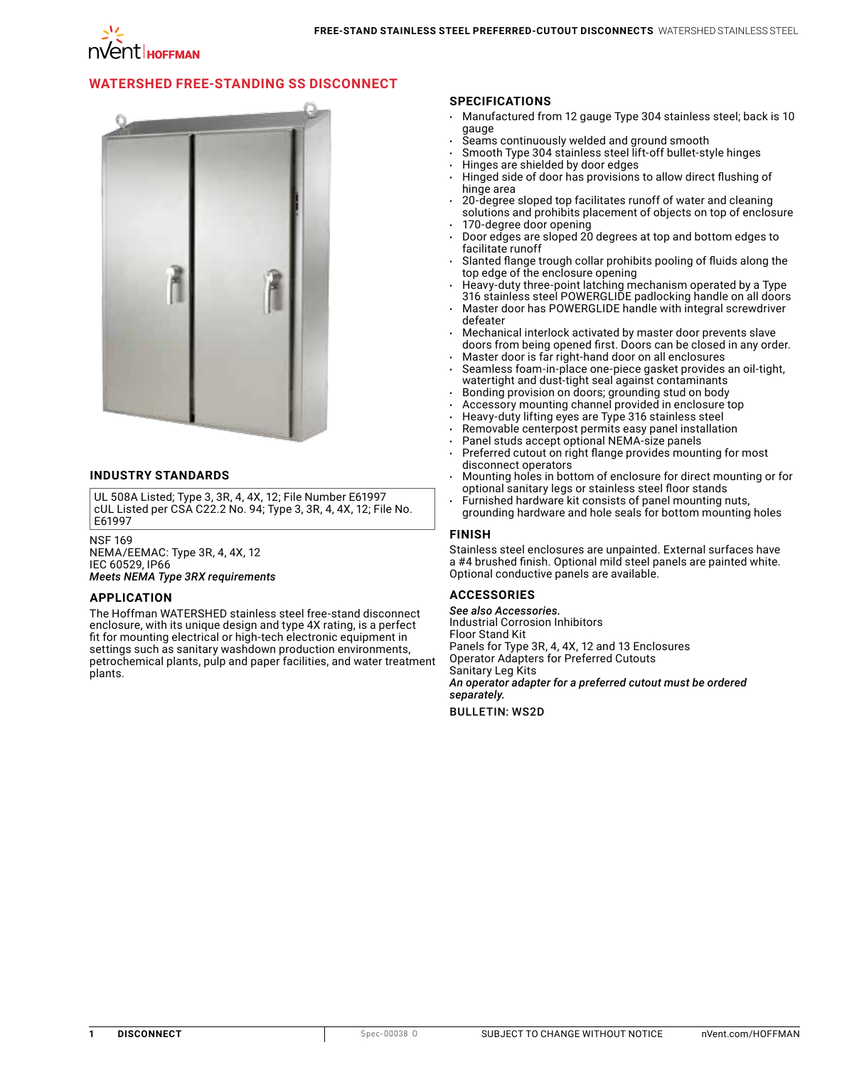

# **[WATERSHED FREE-STANDING SS DISCONNECT](http://hoffman.nvent.com/en/hoffman/Hoffman-WATERSHED-Free-Standing-SS-Disconnect-Enclosures)**



### **INDUSTRY STANDARDS**

UL 508A Listed; Type 3, 3R, 4, 4X, 12; File Number E61997 cUL Listed per CSA C22.2 No. 94; Type 3, 3R, 4, 4X, 12; File No. E61997

NSF 169 NEMA/EEMAC: Type 3R, 4, 4X, 12 IEC 60529, IP66 *Meets NEMA Type 3RX requirements*

#### **APPLICATION**

The Hoffman WATERSHED stainless steel free-stand disconnect enclosure, with its unique design and type 4X rating, is a perfect fit for mounting electrical or high-tech electronic equipment in settings such as sanitary washdown production environments, petrochemical plants, pulp and paper facilities, and water treatment plants.

### **SPECIFICATIONS**

- Manufactured from 12 gauge Type 304 stainless steel; back is 10 gauge
- Seams continuously welded and ground smooth
- Smooth Type 304 stainless steel lift-off bullet-style hinges
- Hinges are shielded by door edges
- Hinged side of door has provisions to allow direct flushing of hinge area
- 20-degree sloped top facilitates runoff of water and cleaning solutions and prohibits placement of objects on top of enclosure 170-degree door opening
- Door edges are sloped 20 degrees at top and bottom edges to facilitate runoff
- Slanted flange trough collar prohibits pooling of fluids along the top edge of the enclosure opening
- Heavy-duty three-point latching mechanism operated by a Type 316 stainless steel POWERGLIDE padlocking handle on all doors
- Master door has POWERGLIDE handle with integral screwdriver defeater
- Mechanical interlock activated by master door prevents slave doors from being opened first. Doors can be closed in any order.
- Master door is far right-hand door on all enclosures
- Seamless foam-in-place one-piece gasket provides an oil-tight, watertight and dust-tight seal against contaminants
- Bonding provision on doors; grounding stud on body
- Accessory mounting channel provided in enclosure top
- Heavy-duty lifting eyes are Type 316 stainless steel
- Removable centerpost permits easy panel installation
- Panel studs accept optional NEMA-size panels Preferred cutout on right flange provides mounting for most
- disconnect operators • Mounting holes in bottom of enclosure for direct mounting or for
- optional sanitary legs or stainless steel floor stands Furnished hardware kit consists of panel mounting nuts,
- grounding hardware and hole seals for bottom mounting holes

## **FINISH**

Stainless steel enclosures are unpainted. External surfaces have a #4 brushed finish. Optional mild steel panels are painted white. Optional conductive panels are available.

### **ACCESSORIES**

*See also Accessories.* Industrial Corrosion Inhibitors Floor Stand Kit Panels for Type 3R, 4, 4X, 12 and 13 Enclosures Operator Adapters for Preferred Cutouts Sanitary Leg Kits *An operator adapter for a preferred cutout must be ordered separately.*

BULLETIN: WS2D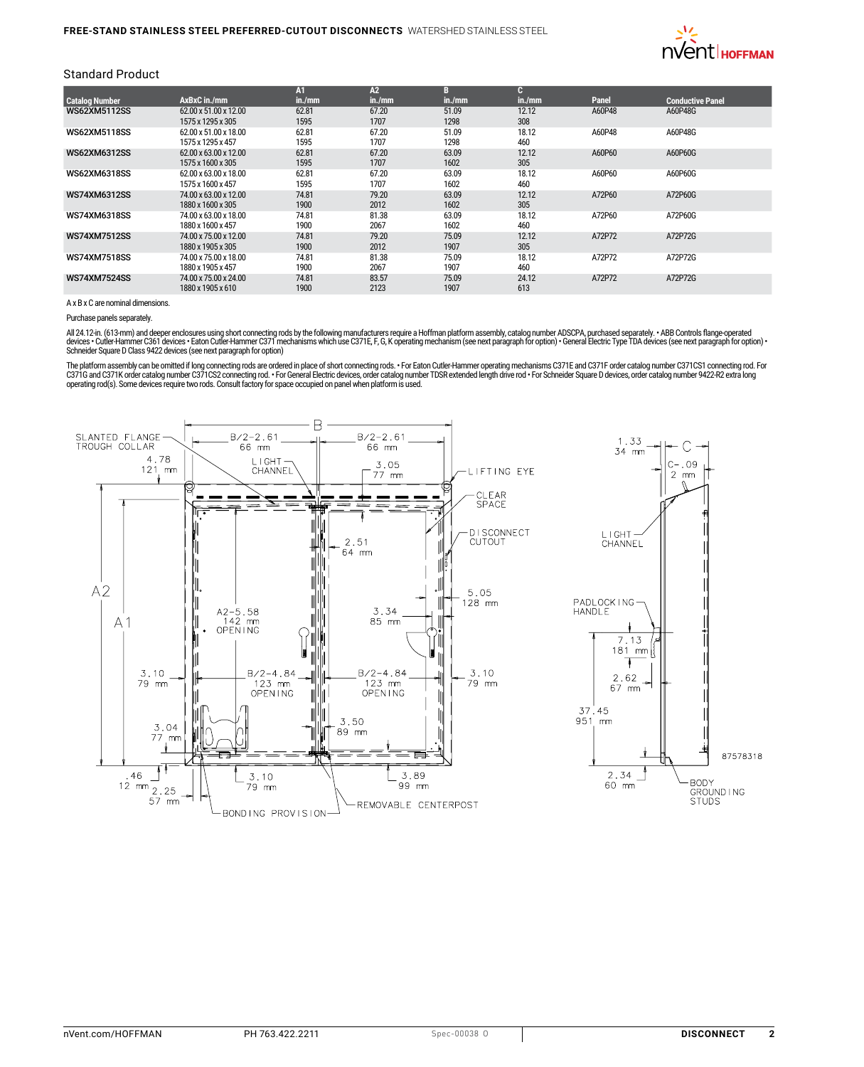

### Standard Product

|                       |                       | Λт     | A2     | в      | п.     |        |                         |
|-----------------------|-----------------------|--------|--------|--------|--------|--------|-------------------------|
| <b>Catalog Number</b> | AxBxC in./mm          | in./mm | in./mm | in./mm | in./mm | Panel  | <b>Conductive Panel</b> |
| <b>WS62XM5112SS</b>   | 62.00 x 51.00 x 12.00 | 62.81  | 67.20  | 51.09  | 12.12  | A60P48 | A60P48G                 |
|                       | 1575 x 1295 x 305     | 1595   | 1707   | 1298   | 308    |        |                         |
| <b>WS62XM5118SS</b>   | 62.00 x 51.00 x 18.00 | 62.81  | 67.20  | 51.09  | 18.12  | A60P48 | A60P48G                 |
|                       | 1575 x 1295 x 457     | 1595   | 1707   | 1298   | 460    |        |                         |
| WS62XM6312SS          | 62.00 x 63.00 x 12.00 | 62.81  | 67.20  | 63.09  | 12.12  | A60P60 | A60P60G                 |
|                       | 1575 x 1600 x 305     | 1595   | 1707   | 1602   | 305    |        |                         |
| WS62XM6318SS          | 62.00 x 63.00 x 18.00 | 62.81  | 67.20  | 63.09  | 18.12  | A60P60 | A60P60G                 |
|                       | 1575 x 1600 x 457     | 1595   | 1707   | 1602   | 460    |        |                         |
| WS74XM6312SS          | 74.00 x 63.00 x 12.00 | 74.81  | 79.20  | 63.09  | 12.12  | A72P60 | A72P60G                 |
|                       | 1880 x 1600 x 305     | 1900   | 2012   | 1602   | 305    |        |                         |
| WS74XM6318SS          | 74.00 x 63.00 x 18.00 | 74.81  | 81.38  | 63.09  | 18.12  | A72P60 | A72P60G                 |
|                       | 1880 x 1600 x 457     | 1900   | 2067   | 1602   | 460    |        |                         |
| <b>WS74XM7512SS</b>   | 74.00 x 75.00 x 12.00 | 74.81  | 79.20  | 75.09  | 12.12  | A72P72 | A72P72G                 |
|                       | 1880 x 1905 x 305     | 1900   | 2012   | 1907   | 305    |        |                         |
| <b>WS74XM7518SS</b>   | 74.00 x 75.00 x 18.00 | 74.81  | 81.38  | 75.09  | 18.12  | A72P72 | A72P72G                 |
|                       | 1880 x 1905 x 457     | 1900   | 2067   | 1907   | 460    |        |                         |
| <b>WS74XM7524SS</b>   | 74.00 x 75.00 x 24.00 | 74.81  | 83.57  | 75.09  | 24.12  | A72P72 | A72P72G                 |
|                       | 1880 x 1905 x 610     | 1900   | 2123   | 1907   | 613    |        |                         |

A x B x C are nominal dimensions.

Purchase panels separately.

All 24.12-in. (613-mm) and deeper enclosures using short connecting rods by the following manufacturers require a Hoffman platform assembly, catalog number ADSCPA, purchased separately. • ABB Controls flange operated<br>devic Schneider Square D Class 9422 devices (see next paragraph for option)

The platform assembly can be omitted if long connecting rods are ordered in place of short connecting rods. • For Eaton Culter-Hammer operating mechanisms C371E and C371F order catalog number C371CS1 connecting rod. For<br>C3

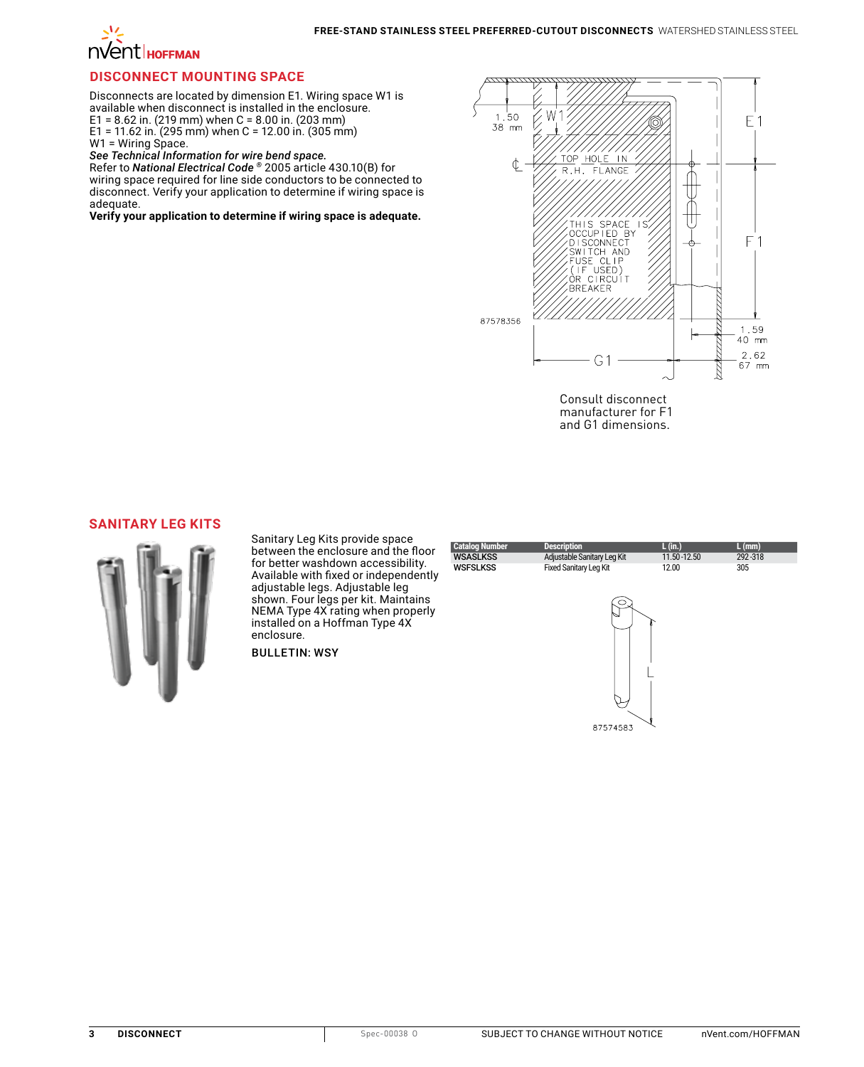

### **DISCONNECT MOUNTING SPACE**

Disconnects are located by dimension E1. Wiring space W1 is available when disconnect is installed in the enclosure. E1 = 8.62 in. (219 mm) when C = 8.00 in. (203 mm) E1 = 11.62 in. (295 mm) when C = 12.00 in. (305 mm) W1 = Wiring Space.

*See Technical Information for wire bend space.* Refer to *National Electrical Code ®* 2005 article 430.10(B) for wiring space required for line side conductors to be connected to disconnect. Verify your application to determine if wiring space is adequate.

**Verify your application to determine if wiring space is adequate.**



Consult disconnect manufacturer for F1 and G1 dimensions.

### **[SANITARY LEG KITS](http://hoffman.nvent.com/en/hoffman/Sanitary-Leg-Kits)**



Sanitary Leg Kits provide space between the enclosure and the floor for better washdown accessibility. Available with fixed or independently adjustable legs. Adjustable leg shown. Four legs per kit. Maintains NEMA Type 4X rating when properly installed on a Hoffman Type 4X enclosure.

BULLETIN: WSY